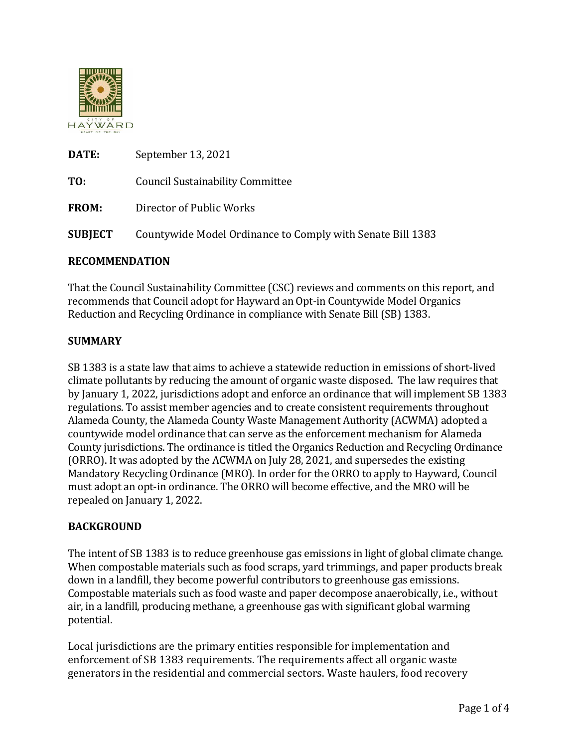

| DATE:          | September 13, 2021                                         |
|----------------|------------------------------------------------------------|
| TO:            | <b>Council Sustainability Committee</b>                    |
| <b>FROM:</b>   | Director of Public Works                                   |
| <b>SUBJECT</b> | Countywide Model Ordinance to Comply with Senate Bill 1383 |

## **RECOMMENDATION**

That the Council Sustainability Committee (CSC) reviews and comments on this report, and recommends that Council adopt for Hayward an Opt-in Countywide Model Organics Reduction and Recycling Ordinance in compliance with Senate Bill (SB) 1383.

## **SUMMARY**

SB 1383 is a state law that aims to achieve a statewide reduction in emissions of short-lived climate pollutants by reducing the amount of organic waste disposed. The law requires that by January 1, 2022, jurisdictions adopt and enforce an ordinance that will implement SB 1383 regulations. To assist member agencies and to create consistent requirements throughout Alameda County, the Alameda County Waste Management Authority (ACWMA) adopted a countywide model ordinance that can serve as the enforcement mechanism for Alameda County jurisdictions. The ordinance is titled the Organics Reduction and Recycling Ordinance (ORRO). It was adopted by the ACWMA on July 28, 2021, and supersedes the existing Mandatory Recycling Ordinance (MRO). In order for the ORRO to apply to Hayward, Council must adopt an opt-in ordinance. The ORRO will become effective, and the MRO will be repealed on January 1, 2022.

## **BACKGROUND**

The intent of SB 1383 is to reduce greenhouse gas emissions in light of global climate change. When compostable materials such as food scraps, yard trimmings, and paper products break down in a landfill, they become powerful contributors to greenhouse gas emissions. Compostable materials such as food waste and paper decompose anaerobically, i.e., without air, in a landfill, producing methane, a greenhouse gas with significant global warming potential.

Local jurisdictions are the primary entities responsible for implementation and enforcement of SB 1383 requirements. The requirements affect all organic waste generators in the residential and commercial sectors. Waste haulers, food recovery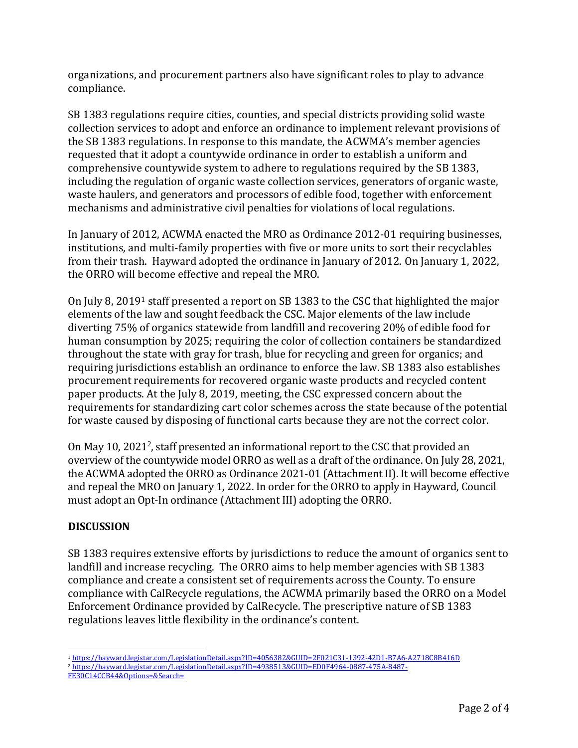organizations, and procurement partners also have significant roles to play to advance compliance.

SB 1383 regulations require cities, counties, and special districts providing solid waste collection services to adopt and enforce an ordinance to implement relevant provisions of the SB 1383 regulations. In response to this mandate, the ACWMA's member agencies requested that it adopt a countywide ordinance in order to establish a uniform and comprehensive countywide system to adhere to regulations required by the SB 1383, including the regulation of organic waste collection services, generators of organic waste, waste haulers, and generators and processors of edible food, together with enforcement mechanisms and administrative civil penalties for violations of local regulations.

In January of 2012, ACWMA enacted the MRO as Ordinance 2012-01 requiring businesses, institutions, and multi-family properties with five or more units to sort their recyclables from their trash. Hayward adopted the ordinance in January of 2012. On January 1, 2022, the ORRO will become effective and repeal the MRO.

On July 8, 2019<sup>1</sup> staff presented a report on SB 1383 to the CSC that highlighted the major elements of the law and sought feedback the CSC. Major elements of the law include diverting 75% of organics statewide from landfill and recovering 20% of edible food for human consumption by 2025; requiring the color of collection containers be standardized throughout the state with gray for trash, blue for recycling and green for organics; and requiring jurisdictions establish an ordinance to enforce the law. SB 1383 also establishes procurement requirements for recovered organic waste products and recycled content paper products. At the July 8, 2019, meeting, the CSC expressed concern about the requirements for standardizing cart color schemes across the state because of the potential for waste caused by disposing of functional carts because they are not the correct color.

On May 10, 2021<sup>2</sup>, staff presented an informational report to the CSC that provided an overview of the countywide model ORRO as well as a draft of the ordinance. On July 28, 2021, the ACWMA adopted the ORRO as Ordinance 2021-01 (Attachment II). It will become effective and repeal the MRO on January 1, 2022. In order for the ORRO to apply in Hayward, Council must adopt an Opt-In ordinance (Attachment III) adopting the ORRO.

## **DISCUSSION**

SB 1383 requires extensive efforts by jurisdictions to reduce the amount of organics sent to landfill and increase recycling. The ORRO aims to help member agencies with SB 1383 compliance and create a consistent set of requirements across the County. To ensure compliance with CalRecycle regulations, the ACWMA primarily based the ORRO on a Model Enforcement Ordinance provided by CalRecycle. The prescriptive nature of SB 1383 regulations leaves little flexibility in the ordinance's content.

 $\overline{a}$ <sup>1</sup> <https://hayward.legistar.com/LegislationDetail.aspx?ID=4056382&GUID=2F021C31-1392-42D1-B7A6-A2718C8B416D>

<sup>2</sup> [https://hayward.legistar.com/LegislationDetail.aspx?ID=4938513&GUID=ED0F4964-0887-475A-8487-](https://hayward.legistar.com/LegislationDetail.aspx?ID=4938513&GUID=ED0F4964-0887-475A-8487-FE30C14CCB44&Options=&Search=)

[FE30C14CCB44&Options=&Search=](https://hayward.legistar.com/LegislationDetail.aspx?ID=4938513&GUID=ED0F4964-0887-475A-8487-FE30C14CCB44&Options=&Search=)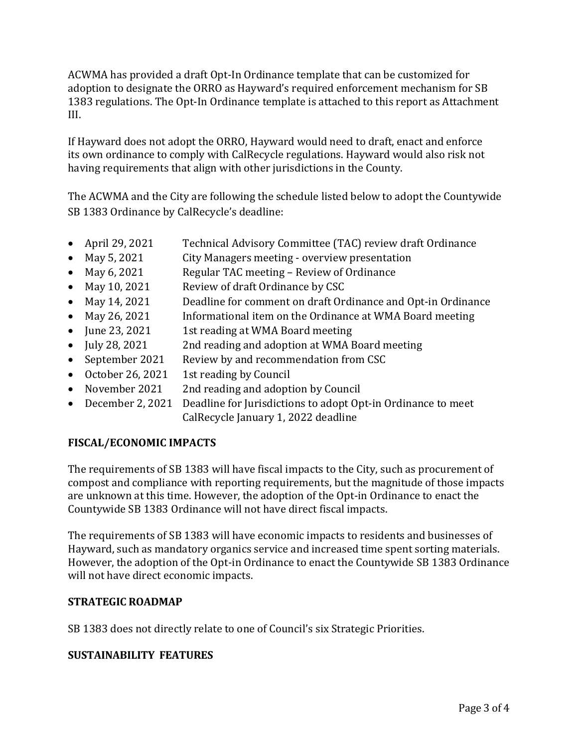ACWMA has provided a draft Opt-In Ordinance template that can be customized for adoption to designate the ORRO as Hayward's required enforcement mechanism for SB 1383 regulations. The Opt-In Ordinance template is attached to this report as Attachment III.

If Hayward does not adopt the ORRO, Hayward would need to draft, enact and enforce its own ordinance to comply with CalRecycle regulations. Hayward would also risk not having requirements that align with other jurisdictions in the County.

The ACWMA and the City are following the schedule listed below to adopt the Countywide SB 1383 Ordinance by CalRecycle's deadline:

- April 29, 2021 Technical Advisory Committee (TAC) review draft Ordinance
- May 5, 2021 City Managers meeting overview presentation
- May 6, 2021 Regular TAC meeting Review of Ordinance
- May 10, 2021 Review of draft Ordinance by CSC
- May 14, 2021 Deadline for comment on draft Ordinance and Opt-in Ordinance
- May 26, 2021 Informational item on the Ordinance at WMA Board meeting
- June 23, 2021 1st reading at WMA Board meeting
- July 28, 2021 2nd reading and adoption at WMA Board meeting
- September 2021 Review by and recommendation from CSC
- October 26, 2021 1st reading by Council
- November 2021 2nd reading and adoption by Council
- December 2, 2021 Deadline for Jurisdictions to adopt Opt-in Ordinance to meet CalRecycle January 1, 2022 deadline

## **FISCAL/ECONOMIC IMPACTS**

The requirements of SB 1383 will have fiscal impacts to the City, such as procurement of compost and compliance with reporting requirements, but the magnitude of those impacts are unknown at this time. However, the adoption of the Opt-in Ordinance to enact the Countywide SB 1383 Ordinance will not have direct fiscal impacts.

The requirements of SB 1383 will have economic impacts to residents and businesses of Hayward, such as mandatory organics service and increased time spent sorting materials. However, the adoption of the Opt-in Ordinance to enact the Countywide SB 1383 Ordinance will not have direct economic impacts.

## **STRATEGIC ROADMAP**

SB 1383 does not directly relate to one of Council's six Strategic Priorities.

## **SUSTAINABILITY FEATURES**